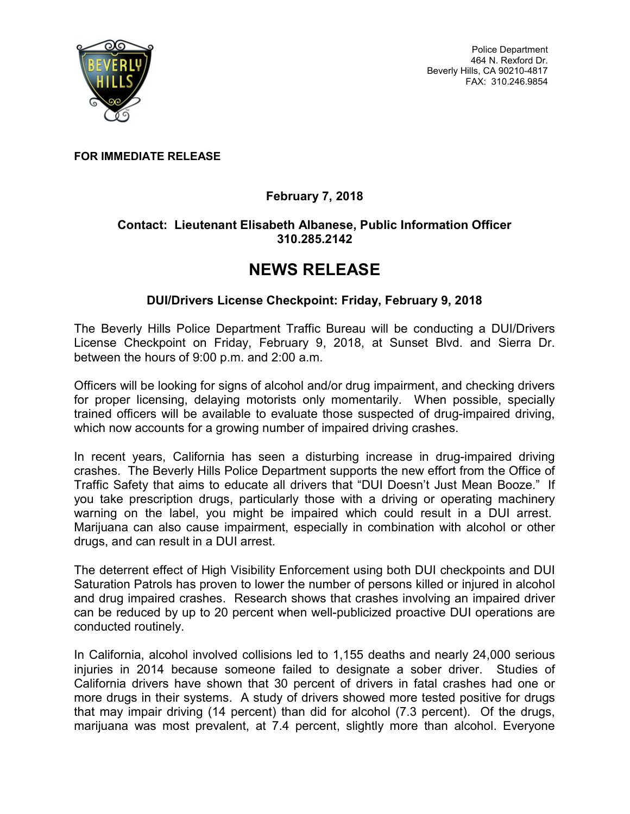

Police Department 464 N. Rexford Dr. Beverly Hills, CA 90210-4817 FAX: 310.246.9854

FOR IMMEDIATE RELEASE

## February 7, 2018

## Contact: Lieutenant Elisabeth Albanese, Public Information Officer 310.285.2142

## NEWS RELEASE

## DUI/Drivers License Checkpoint: Friday, February 9, 2018

The Beverly Hills Police Department Traffic Bureau will be conducting a DUI/Drivers License Checkpoint on Friday, February 9, 2018, at Sunset Blvd. and Sierra Dr. between the hours of 9:00 p.m. and 2:00 a.m.

Officers will be looking for signs of alcohol and/or drug impairment, and checking drivers for proper licensing, delaying motorists only momentarily. When possible, specially trained officers will be available to evaluate those suspected of drug-impaired driving, which now accounts for a growing number of impaired driving crashes.

In recent years, California has seen a disturbing increase in drug-impaired driving crashes. The Beverly Hills Police Department supports the new effort from the Office of Traffic Safety that aims to educate all drivers that "DUI Doesn't Just Mean Booze." If you take prescription drugs, particularly those with a driving or operating machinery warning on the label, you might be impaired which could result in a DUI arrest. Marijuana can also cause impairment, especially in combination with alcohol or other drugs, and can result in a DUI arrest.

The deterrent effect of High Visibility Enforcement using both DUI checkpoints and DUI Saturation Patrols has proven to lower the number of persons killed or injured in alcohol and drug impaired crashes. Research shows that crashes involving an impaired driver can be reduced by up to 20 percent when well-publicized proactive DUI operations are conducted routinely.

In California, alcohol involved collisions led to 1,155 deaths and nearly 24,000 serious injuries in 2014 because someone failed to designate a sober driver. Studies of California drivers have shown that 30 percent of drivers in fatal crashes had one or more drugs in their systems. A study of drivers showed more tested positive for drugs that may impair driving (14 percent) than did for alcohol (7.3 percent). Of the drugs, marijuana was most prevalent, at 7.4 percent, slightly more than alcohol. Everyone